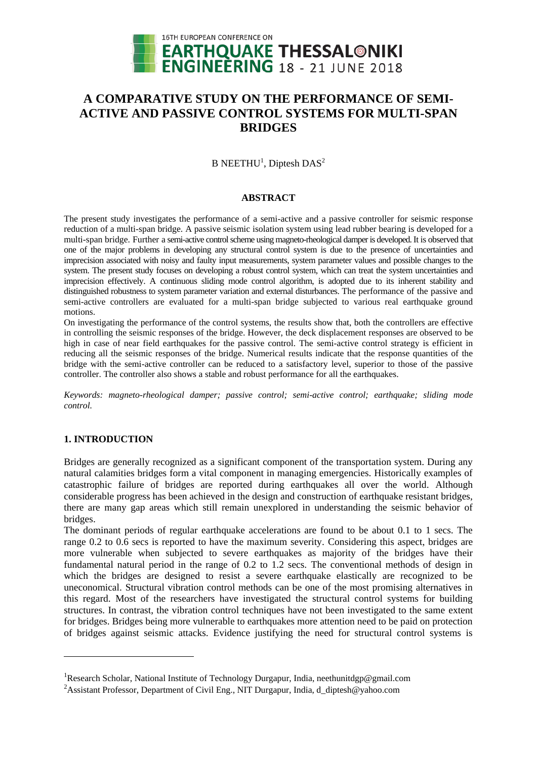

# **A COMPARATIVE STUDY ON THE PERFORMANCE OF SEMI-ACTIVE AND PASSIVE CONTROL SYSTEMS FOR MULTI-SPAN BRIDGES**

 $B$  NEETHU<sup>1</sup>, Diptesh DAS<sup>2</sup>

# **ABSTRACT**

The present study investigates the performance of a semi-active and a passive controller for seismic response reduction of a multi-span bridge. A passive seismic isolation system using lead rubber bearing is developed for a multi-span bridge. Further a semi-active control scheme using magneto-rheological damper is developed. It is observed that one of the major problems in developing any structural control system is due to the presence of uncertainties and imprecision associated with noisy and faulty input measurements, system parameter values and possible changes to the system. The present study focuses on developing a robust control system, which can treat the system uncertainties and imprecision effectively. A continuous sliding mode control algorithm, is adopted due to its inherent stability and distinguished robustness to system parameter variation and external disturbances. The performance of the passive and semi-active controllers are evaluated for a multi-span bridge subjected to various real earthquake ground motions.

On investigating the performance of the control systems, the results show that, both the controllers are effective in controlling the seismic responses of the bridge. However, the deck displacement responses are observed to be high in case of near field earthquakes for the passive control. The semi-active control strategy is efficient in reducing all the seismic responses of the bridge. Numerical results indicate that the response quantities of the bridge with the semi-active controller can be reduced to a satisfactory level, superior to those of the passive controller. The controller also shows a stable and robust performance for all the earthquakes.

*Keywords: magneto-rheological damper; passive control; semi-active control; earthquake; sliding mode control.*

# **1. INTRODUCTION**

1

Bridges are generally recognized as a significant component of the transportation system. During any natural calamities bridges form a vital component in managing emergencies. Historically examples of catastrophic failure of bridges are reported during earthquakes all over the world. Although considerable progress has been achieved in the design and construction of earthquake resistant bridges, there are many gap areas which still remain unexplored in understanding the seismic behavior of bridges.

The dominant periods of regular earthquake accelerations are found to be about 0.1 to 1 secs. The range 0.2 to 0.6 secs is reported to have the maximum severity. Considering this aspect, bridges are more vulnerable when subjected to severe earthquakes as majority of the bridges have their fundamental natural period in the range of 0.2 to 1.2 secs. The conventional methods of design in which the bridges are designed to resist a severe earthquake elastically are recognized to be uneconomical. Structural vibration control methods can be one of the most promising alternatives in this regard. Most of the researchers have investigated the structural control systems for building structures. In contrast, the vibration control techniques have not been investigated to the same extent for bridges. Bridges being more vulnerable to earthquakes more attention need to be paid on protection of bridges against seismic attacks. Evidence justifying the need for structural control systems is

<sup>&</sup>lt;sup>1</sup>Research Scholar, National Institute of Technology Durgapur, India, neethunitdgp@gmail.com

<sup>&</sup>lt;sup>2</sup>Assistant Professor, Department of Civil Eng., NIT Durgapur, India, d\_diptesh@yahoo.com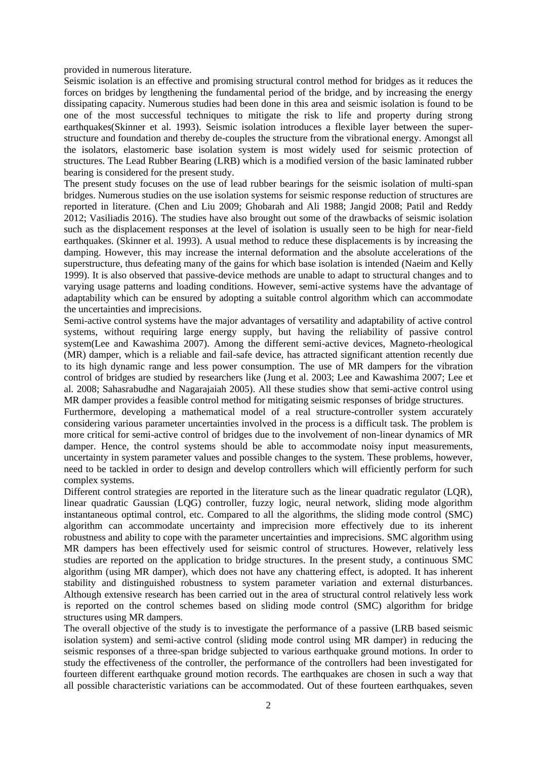provided in numerous literature.

Seismic isolation is an effective and promising structural control method for bridges as it reduces the forces on bridges by lengthening the fundamental period of the bridge, and by increasing the energy dissipating capacity. Numerous studies had been done in this area and seismic isolation is found to be one of the most successful techniques to mitigate the risk to life and property during strong earthquakes(Skinner et al. 1993). Seismic isolation introduces a flexible layer between the superstructure and foundation and thereby de-couples the structure from the vibrational energy. Amongst all the isolators, elastomeric base isolation system is most widely used for seismic protection of structures. The Lead Rubber Bearing (LRB) which is a modified version of the basic laminated rubber bearing is considered for the present study.

The present study focuses on the use of lead rubber bearings for the seismic isolation of multi-span bridges. Numerous studies on the use isolation systems for seismic response reduction of structures are reported in literature. (Chen and Liu 2009; Ghobarah and Ali 1988; Jangid 2008; Patil and Reddy 2012; Vasiliadis 2016). The studies have also brought out some of the drawbacks of seismic isolation such as the displacement responses at the level of isolation is usually seen to be high for near-field earthquakes. (Skinner et al. 1993). A usual method to reduce these displacements is by increasing the damping. However, this may increase the internal deformation and the absolute accelerations of the superstructure, thus defeating many of the gains for which base isolation is intended (Naeim and Kelly 1999). It is also observed that passive-device methods are unable to adapt to structural changes and to varying usage patterns and loading conditions. However, semi-active systems have the advantage of adaptability which can be ensured by adopting a suitable control algorithm which can accommodate the uncertainties and imprecisions.

Semi-active control systems have the major advantages of versatility and adaptability of active control systems, without requiring large energy supply, but having the reliability of passive control system(Lee and Kawashima 2007). Among the different semi-active devices, Magneto-rheological (MR) damper, which is a reliable and fail-safe device, has attracted significant attention recently due to its high dynamic range and less power consumption. The use of MR dampers for the vibration control of bridges are studied by researchers like (Jung et al. 2003; Lee and Kawashima 2007; Lee et al. 2008; Sahasrabudhe and Nagarajaiah 2005). All these studies show that semi-active control using MR damper provides a feasible control method for mitigating seismic responses of bridge structures.

Furthermore, developing a mathematical model of a real structure-controller system accurately considering various parameter uncertainties involved in the process is a difficult task. The problem is more critical for semi-active control of bridges due to the involvement of non-linear dynamics of MR damper. Hence, the control systems should be able to accommodate noisy input measurements, uncertainty in system parameter values and possible changes to the system. These problems, however, need to be tackled in order to design and develop controllers which will efficiently perform for such complex systems.

Different control strategies are reported in the literature such as the linear quadratic regulator (LQR), linear quadratic Gaussian (LQG) controller, fuzzy logic, neural network, sliding mode algorithm instantaneous optimal control, etc. Compared to all the algorithms, the sliding mode control (SMC) algorithm can accommodate uncertainty and imprecision more effectively due to its inherent robustness and ability to cope with the parameter uncertainties and imprecisions. SMC algorithm using MR dampers has been effectively used for seismic control of structures. However, relatively less studies are reported on the application to bridge structures. In the present study, a continuous SMC algorithm (using MR damper), which does not have any chattering effect, is adopted. It has inherent stability and distinguished robustness to system parameter variation and external disturbances. Although extensive research has been carried out in the area of structural control relatively less work is reported on the control schemes based on sliding mode control (SMC) algorithm for bridge structures using MR dampers.

The overall objective of the study is to investigate the performance of a passive (LRB based seismic isolation system) and semi-active control (sliding mode control using MR damper) in reducing the seismic responses of a three-span bridge subjected to various earthquake ground motions. In order to study the effectiveness of the controller, the performance of the controllers had been investigated for fourteen different earthquake ground motion records. The earthquakes are chosen in such a way that all possible characteristic variations can be accommodated. Out of these fourteen earthquakes, seven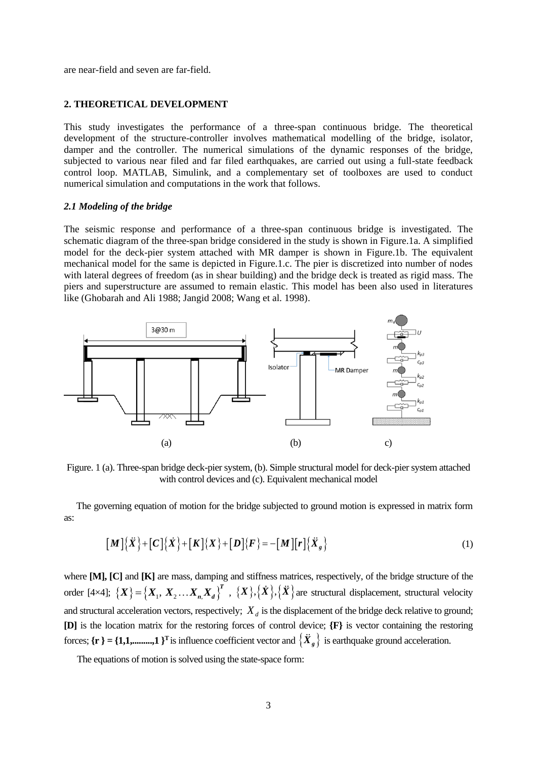are near-field and seven are far-field.

# **2. THEORETICAL DEVELOPMENT**

This study investigates the performance of a three-span continuous bridge. The theoretical development of the structure-controller involves mathematical modelling of the bridge, isolator, damper and the controller. The numerical simulations of the dynamic responses of the bridge, subjected to various near filed and far filed earthquakes, are carried out using a full-state feedback control loop. MATLAB, Simulink, and a complementary set of toolboxes are used to conduct numerical simulation and computations in the work that follows.

### *2.1 Modeling of the bridge*

The seismic response and performance of a three-span continuous bridge is investigated. The schematic diagram of the three-span bridge considered in the study is shown in Figure.1a. A simplified model for the deck-pier system attached with MR damper is shown in Figure.1b. The equivalent mechanical model for the same is depicted in Figure.1.c. The pier is discretized into number of nodes with lateral degrees of freedom (as in shear building) and the bridge deck is treated as rigid mass. The piers and superstructure are assumed to remain elastic. This model has been also used in literatures like (Ghobarah and Ali 1988; Jangid 2008; Wang et al. 1998).



Figure. 1 (a). Three-span bridge deck-pier system, (b). Simple structural model for deck-pier system attached with control devices and (c). Equivalent mechanical model

The governing equation of motion for the bridge subjected to ground motion is expressed in matrix form as:

$$
[M]{\ddot{X}}+[C]{\dot{X}}+[K]{X}]{\dot{K}}+[K]{X}]\tag{1}
$$

where **[M], [C]** and **[K]** are mass, damping and stiffness matrices, respectively, of the bridge structure of the order  $[4\times4]$ ;  $\{X\} = \{X_1, X_2, \dots, X_n, X_d\}^T$ ,  $\{X\}, \{\dot{X}\}, \{\dot{X}\}$  are structural displacement, structural velocity and structural acceleration vectors, respectively;  $X_d$  is the displacement of the bridge deck relative to ground; **[D]** is the location matrix for the restoring forces of control device; **{F}** is vector containing the restoring forces;  $\{r\} = \{1,1, \ldots, 1\}^T$  is influence coefficient vector and  $\{X_g\}$  is earthquake ground acceleration.

The equations of motion is solved using the state-space form: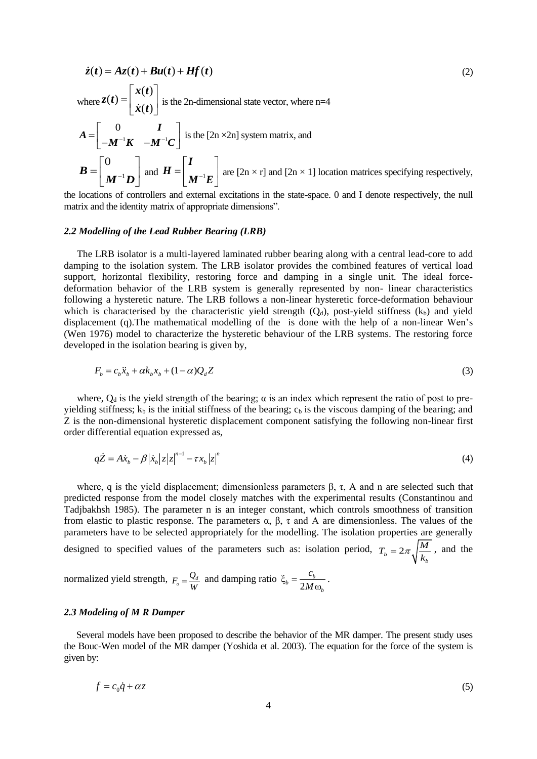$$
\dot{z}(t) = Az(t) + Bu(t) + Hf(t)
$$
\n(2)  
\nwhere  $Z(t) = \begin{bmatrix} x(t) \\ \dot{x}(t) \end{bmatrix}$  is the 2n-dimensional state vector, where n=4  
\n
$$
A = \begin{bmatrix} 0 & I \\ -M^{-1}K & -M^{-1}C \end{bmatrix}
$$
 is the [2n×2n] system matrix, and  
\n
$$
B = \begin{bmatrix} 0 \\ M^{-1}D \end{bmatrix}
$$
 and  $H = \begin{bmatrix} I \\ M^{-1}E \end{bmatrix}$  are [2n×r] and [2n×1] location matrices specifying respectively,

the locations of controllers and external excitations in the state-space. 0 and I denote respectively, the null matrix and the identity matrix of appropriate dimensions".

### *2.2 Modelling of the Lead Rubber Bearing (LRB)*

The LRB isolator is a multi-layered laminated rubber bearing along with a central lead-core to add damping to the isolation system. The LRB isolator provides the combined features of vertical load support, horizontal flexibility, restoring force and damping in a single unit. The ideal forcedeformation behavior of the LRB system is generally represented by non- linear characteristics following a hysteretic nature. The LRB follows a non-linear hysteretic force-deformation behaviour which is characterised by the characteristic yield strength  $(O_d)$ , post-yield stiffness  $(k_b)$  and yield displacement (q).The mathematical modelling of the is done with the help of a non-linear Wen's (Wen 1976) model to characterize the hysteretic behaviour of the LRB systems. The restoring force developed in the isolation bearing is given by,

$$
F_b = c_b \ddot{x}_b + \alpha k_b x_b + (1 - \alpha) Q_d Z \tag{3}
$$

where,  $Q_d$  is the yield strength of the bearing;  $\alpha$  is an index which represent the ratio of post to preyielding stiffness;  $k_b$  is the initial stiffness of the bearing;  $c_b$  is the viscous damping of the bearing; and Z is the non-dimensional hysteretic displacement component satisfying the following non-linear first order differential equation expressed as,

$$
q\dot{Z} = A\dot{x}_b - \beta |\dot{x}_b| |z| |z|^{n-1} - \tau x_b |z|^n
$$
\n(4)

where, q is the yield displacement; dimensionless parameters  $\beta$ ,  $\tau$ , A and n are selected such that predicted response from the model closely matches with the experimental results (Constantinou and Tadjbakhsh 1985). The parameter n is an integer constant, which controls smoothness of transition from elastic to plastic response. The parameters α, β, τ and A are dimensionless. The values of the parameters have to be selected appropriately for the modelling. The isolation properties are generally designed to specified values of the parameters such as: isolation period,  $T_b = 2\pi \sqrt{\frac{M}{k_b}}$  $T_b = 2\pi \sqrt{\frac{M}{k_b}}$ , and the

normalized yield strength,  $F_o = \frac{Q_d}{W}$  and damping ratio 2  $b = \frac{c_b}{2M}$ *b c M*  $\xi_{h} =$  $\omega$ .

#### *2.3 Modeling of M R Damper*

Several models have been proposed to describe the behavior of the MR damper. The present study uses the Bouc-Wen model of the MR damper (Yoshida et al. 2003). The equation for the force of the system is given by:

$$
f = c_0 \dot{q} + \alpha z \tag{5}
$$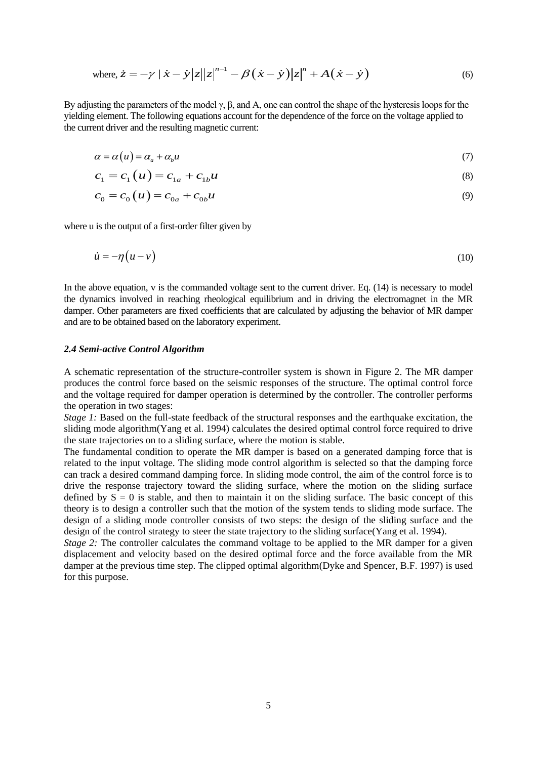where, 
$$
\dot{z} = -\gamma |\dot{x} - \dot{y}|z||z|^{n-1} - \beta(\dot{x} - \dot{y})|z|^n + A(\dot{x} - \dot{y})
$$
 (6)

By adjusting the parameters of the model  $\gamma$ ,  $\beta$ , and A, one can control the shape of the hysteresis loops for the yielding element. The following equations account for the dependence of the force on the voltage applied to the current driver and the resulting magnetic current:

$$
\alpha = \alpha(u) = \alpha_a + \alpha_b u \tag{7}
$$

$$
c_1 = c_1(u) = c_{1a} + c_{1b}u
$$
\n(8)

$$
c_0 = c_0(u) = c_{0a} + c_{0b}u
$$
\n(9)

where u is the output of a first-order filter given by

$$
\dot{u} = -\eta \left( u - v \right) \tag{10}
$$

In the above equation, v is the commanded voltage sent to the current driver. Eq. (14) is necessary to model the dynamics involved in reaching rheological equilibrium and in driving the electromagnet in the MR damper. Other parameters are fixed coefficients that are calculated by adjusting the behavior of MR damper and are to be obtained based on the laboratory experiment.

#### *2.4 Semi-active Control Algorithm*

A schematic representation of the structure-controller system is shown in Figure 2. The MR damper produces the control force based on the seismic responses of the structure. The optimal control force and the voltage required for damper operation is determined by the controller. The controller performs the operation in two stages:

*Stage 1:* Based on the full-state feedback of the structural responses and the earthquake excitation, the sliding mode algorithm(Yang et al. 1994) calculates the desired optimal control force required to drive the state trajectories on to a sliding surface, where the motion is stable.

The fundamental condition to operate the MR damper is based on a generated damping force that is related to the input voltage. The sliding mode control algorithm is selected so that the damping force can track a desired command damping force. In sliding mode control, the aim of the control force is to drive the response trajectory toward the sliding surface, where the motion on the sliding surface defined by  $S = 0$  is stable, and then to maintain it on the sliding surface. The basic concept of this theory is to design a controller such that the motion of the system tends to sliding mode surface. The design of a sliding mode controller consists of two steps: the design of the sliding surface and the design of the control strategy to steer the state trajectory to the sliding surface(Yang et al. 1994).

*Stage 2:* The controller calculates the command voltage to be applied to the MR damper for a given displacement and velocity based on the desired optimal force and the force available from the MR damper at the previous time step. The clipped optimal algorithm(Dyke and Spencer, B.F. 1997) is used for this purpose.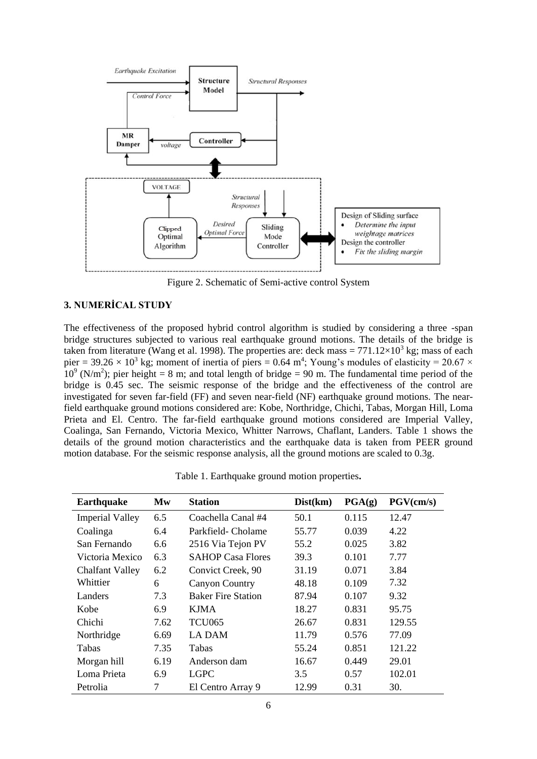

Figure 2. Schematic of Semi-active control System

# **3. NUMERİCAL STUDY**

The effectiveness of the proposed hybrid control algorithm is studied by considering a three -span bridge structures subjected to various real earthquake ground motions. The details of the bridge is taken from literature (Wang et al. 1998). The properties are: deck mass =  $771.12\times10^3$  kg; mass of each pier = 39.26  $\times$  10<sup>3</sup> kg; moment of inertia of piers = 0.64 m<sup>4</sup>; Young's modules of elasticity = 20.67  $\times$  $10^9$  (N/m<sup>2</sup>); pier height = 8 m; and total length of bridge = 90 m. The fundamental time period of the bridge is 0.45 sec. The seismic response of the bridge and the effectiveness of the control are investigated for seven far-field (FF) and seven near-field (NF) earthquake ground motions. The nearfield earthquake ground motions considered are: Kobe, Northridge, Chichi, Tabas, Morgan Hill, Loma Prieta and El. Centro. The far-field earthquake ground motions considered are Imperial Valley, Coalinga, San Fernando, Victoria Mexico, Whitter Narrows, Chaflant, Landers. Table 1 shows the details of the ground motion characteristics and the earthquake data is taken from PEER ground motion database. For the seismic response analysis, all the ground motions are scaled to 0.3g.

| <b>Earthquake</b>      | Mw   | <b>Station</b>            | Dist(km) | PGA(g) | PGV(cm/s) |  |
|------------------------|------|---------------------------|----------|--------|-----------|--|
| <b>Imperial Valley</b> | 6.5  | Coachella Canal #4        | 50.1     | 0.115  | 12.47     |  |
| Coalinga               | 6.4  | Parkfield- Cholame        | 55.77    | 0.039  | 4.22      |  |
| San Fernando           | 6.6  | 2516 Via Tejon PV         | 55.2     | 0.025  | 3.82      |  |
| Victoria Mexico        | 6.3  | <b>SAHOP Casa Flores</b>  | 39.3     | 0.101  | 7.77      |  |
| <b>Chalfant Valley</b> | 6.2  | Convict Creek, 90         | 31.19    | 0.071  | 3.84      |  |
| Whittier               | 6    | <b>Canyon Country</b>     | 48.18    | 0.109  | 7.32      |  |
| Landers                | 7.3  | <b>Baker Fire Station</b> | 87.94    | 0.107  | 9.32      |  |
| Kobe                   | 6.9  | <b>KJMA</b>               | 18.27    | 0.831  | 95.75     |  |
| Chichi                 | 7.62 | <b>TCU065</b>             | 26.67    | 0.831  | 129.55    |  |
| Northridge             | 6.69 | <b>LA DAM</b>             | 11.79    | 0.576  | 77.09     |  |
| Tabas                  | 7.35 | <b>Tabas</b>              | 55.24    | 0.851  | 121.22    |  |
| Morgan hill            | 6.19 | Anderson dam              | 16.67    | 0.449  | 29.01     |  |
| Loma Prieta            | 6.9  | <b>LGPC</b>               | 3.5      | 0.57   | 102.01    |  |
| Petrolia               | 7    | El Centro Array 9         | 12.99    | 0.31   | 30.       |  |

Table 1. Earthquake ground motion properties**.**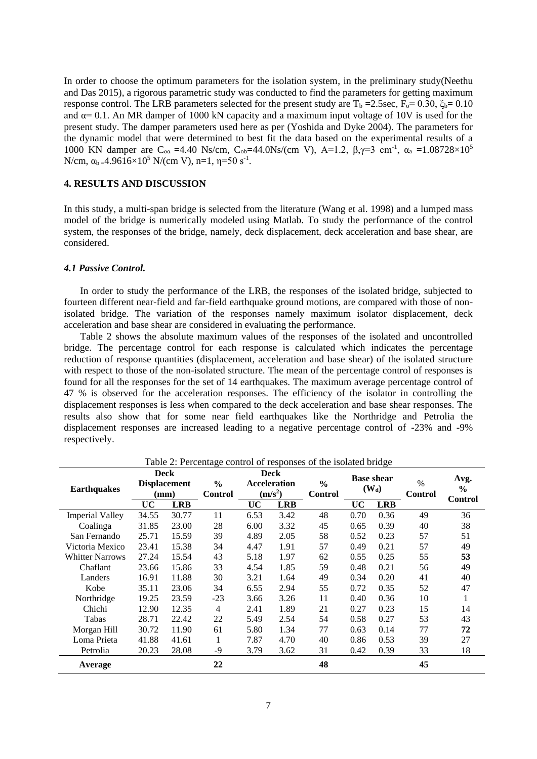In order to choose the optimum parameters for the isolation system, in the preliminary study(Neethu and Das 2015), a rigorous parametric study was conducted to find the parameters for getting maximum response control. The LRB parameters selected for the present study are T<sub>b</sub> = 2.5sec, F<sub>o</sub>= 0.30, ξ<sub>b</sub>= 0.10 and  $\alpha$  = 0.1. An MR damper of 1000 kN capacity and a maximum input voltage of 10V is used for the present study. The damper parameters used here as per (Yoshida and Dyke 2004). The parameters for the dynamic model that were determined to best fit the data based on the experimental results of a 1000 KN damper are C<sub>oα</sub> =4.40 Ns/cm, C<sub>ob</sub>=44.0Ns/(cm V), A=1.2, β,γ=3 cm<sup>-1</sup>, α<sub>a</sub> =1.08728×10<sup>5</sup> N/cm,  $\alpha_{b} = 4.9616 \times 10^{5}$  N/(cm V), n=1, η=50 s<sup>-1</sup>.

# **4. RESULTS AND DISCUSSION**

In this study, a multi-span bridge is selected from the literature (Wang et al. 1998) and a lumped mass model of the bridge is numerically modeled using Matlab. To study the performance of the control system, the responses of the bridge, namely, deck displacement, deck acceleration and base shear, are considered.

### *4.1 Passive Control.*

In order to study the performance of the LRB, the responses of the isolated bridge, subjected to fourteen different near-field and far-field earthquake ground motions, are compared with those of nonisolated bridge. The variation of the responses namely maximum isolator displacement, deck acceleration and base shear are considered in evaluating the performance.

Table 2 shows the absolute maximum values of the responses of the isolated and uncontrolled bridge. The percentage control for each response is calculated which indicates the percentage reduction of response quantities (displacement, acceleration and base shear) of the isolated structure with respect to those of the non-isolated structure. The mean of the percentage control of responses is found for all the responses for the set of 14 earthquakes. The maximum average percentage control of 47 % is observed for the acceleration responses. The efficiency of the isolator in controlling the displacement responses is less when compared to the deck acceleration and base shear responses. The results also show that for some near field earthquakes like the Northridge and Petrolia the displacement responses are increased leading to a negative percentage control of -23% and -9% respectively.

|                        | <b>Deck</b>         |            | 0              |                                            | <b>Deck</b> |                                 |                              | 07         |                        |                                         |
|------------------------|---------------------|------------|----------------|--------------------------------------------|-------------|---------------------------------|------------------------------|------------|------------------------|-----------------------------------------|
| <b>Earthquakes</b>     | <b>Displacement</b> |            | $\frac{0}{0}$  | <b>Acceleration</b><br>(m/s <sup>2</sup> ) |             | $\frac{0}{0}$<br><b>Control</b> | <b>Base shear</b><br>$(W_d)$ |            | $\%$<br><b>Control</b> | Avg.<br>$\frac{6}{6}$<br><b>Control</b> |
|                        | $(\mathbf{mm})$     |            | <b>Control</b> |                                            |             |                                 |                              |            |                        |                                         |
|                        | <b>UC</b>           | <b>LRB</b> |                | <b>UC</b>                                  | <b>LRB</b>  |                                 | <b>UC</b>                    | <b>LRB</b> |                        |                                         |
| <b>Imperial Valley</b> | 34.55               | 30.77      | 11             | 6.53                                       | 3.42        | 48                              | 0.70                         | 0.36       | 49                     | 36                                      |
| Coalinga               | 31.85               | 23.00      | 28             | 6.00                                       | 3.32        | 45                              | 0.65                         | 0.39       | 40                     | 38                                      |
| San Fernando           | 25.71               | 15.59      | 39             | 4.89                                       | 2.05        | 58                              | 0.52                         | 0.23       | 57                     | 51                                      |
| Victoria Mexico        | 23.41               | 15.38      | 34             | 4.47                                       | 1.91        | 57                              | 0.49                         | 0.21       | 57                     | 49                                      |
| <b>Whitter Narrows</b> | 27.24               | 15.54      | 43             | 5.18                                       | 1.97        | 62                              | 0.55                         | 0.25       | 55                     | 53                                      |
| Chaflant               | 23.66               | 15.86      | 33             | 4.54                                       | 1.85        | 59                              | 0.48                         | 0.21       | 56                     | 49                                      |
| Landers                | 16.91               | 11.88      | 30             | 3.21                                       | 1.64        | 49                              | 0.34                         | 0.20       | 41                     | 40                                      |
| Kobe                   | 35.11               | 23.06      | 34             | 6.55                                       | 2.94        | 55                              | 0.72                         | 0.35       | 52                     | 47                                      |
| Northridge             | 19.25               | 23.59      | $-23$          | 3.66                                       | 3.26        | 11                              | 0.40                         | 0.36       | 10                     | 1                                       |
| Chichi                 | 12.90               | 12.35      | $\overline{4}$ | 2.41                                       | 1.89        | 21                              | 0.27                         | 0.23       | 15                     | 14                                      |
| Tabas                  | 28.71               | 22.42      | 22             | 5.49                                       | 2.54        | 54                              | 0.58                         | 0.27       | 53                     | 43                                      |
| Morgan Hill            | 30.72               | 11.90      | 61             | 5.80                                       | 1.34        | 77                              | 0.63                         | 0.14       | 77                     | 72                                      |
| Loma Prieta            | 41.88               | 41.61      |                | 7.87                                       | 4.70        | 40                              | 0.86                         | 0.53       | 39                     | 27                                      |
| Petrolia               | 20.23               | 28.08      | $-9$           | 3.79                                       | 3.62        | 31                              | 0.42                         | 0.39       | 33                     | 18                                      |
| Average                |                     |            | 22             |                                            |             | 48                              |                              |            | 45                     |                                         |

Table 2: Percentage control of responses of the isolated bridge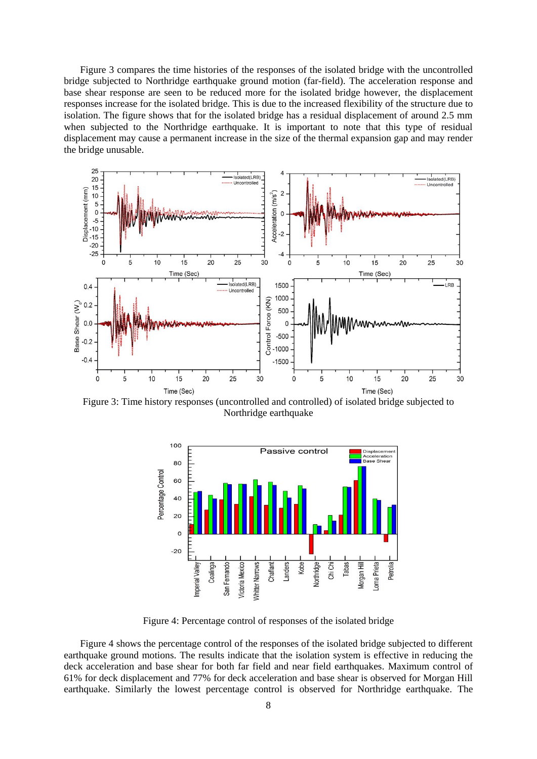Figure 3 compares the time histories of the responses of the isolated bridge with the uncontrolled bridge subjected to Northridge earthquake ground motion (far-field). The acceleration response and base shear response are seen to be reduced more for the isolated bridge however, the displacement responses increase for the isolated bridge. This is due to the increased flexibility of the structure due to isolation. The figure shows that for the isolated bridge has a residual displacement of around 2.5 mm when subjected to the Northridge earthquake. It is important to note that this type of residual displacement may cause a permanent increase in the size of the thermal expansion gap and may render the bridge unusable.



Figure 3: Time history responses (uncontrolled and controlled) of isolated bridge subjected to Northridge earthquake



Figure 4: Percentage control of responses of the isolated bridge

Figure 4 shows the percentage control of the responses of the isolated bridge subjected to different earthquake ground motions. The results indicate that the isolation system is effective in reducing the deck acceleration and base shear for both far field and near field earthquakes. Maximum control of 61% for deck displacement and 77% for deck acceleration and base shear is observed for Morgan Hill earthquake. Similarly the lowest percentage control is observed for Northridge earthquake. The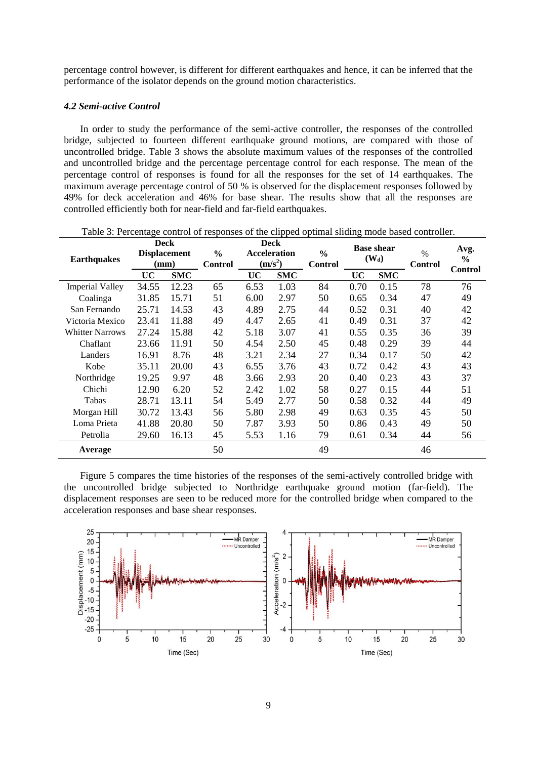percentage control however, is different for different earthquakes and hence, it can be inferred that the performance of the isolator depends on the ground motion characteristics.

### *4.2 Semi-active Control*

In order to study the performance of the semi-active controller, the responses of the controlled bridge, subjected to fourteen different earthquake ground motions, are compared with those of uncontrolled bridge. Table 3 shows the absolute maximum values of the responses of the controlled and uncontrolled bridge and the percentage percentage control for each response. The mean of the percentage control of responses is found for all the responses for the set of 14 earthquakes. The maximum average percentage control of 50 % is observed for the displacement responses followed by 49% for deck acceleration and 46% for base shear. The results show that all the responses are controlled efficiently both for near-field and far-field earthquakes.

| <b>Earthquakes</b>     | <b>Deck</b><br><b>Displacement</b> |            | $\frac{6}{6}$  | <b>Deck</b><br><b>Acceleration</b><br>(m/s <sup>2</sup> ) |            | $\frac{0}{0}$<br><b>Control</b> | <b>Base shear</b><br>(W <sub>d</sub> ) |            | $\%$<br>Control | Avg.<br>$\frac{6}{6}$ |
|------------------------|------------------------------------|------------|----------------|-----------------------------------------------------------|------------|---------------------------------|----------------------------------------|------------|-----------------|-----------------------|
|                        | (mm)                               |            | <b>Control</b> |                                                           |            |                                 |                                        |            |                 |                       |
|                        | <b>UC</b>                          | <b>SMC</b> |                | UC                                                        | <b>SMC</b> |                                 | UC                                     | <b>SMC</b> |                 | <b>Control</b>        |
| <b>Imperial Valley</b> | 34.55                              | 12.23      | 65             | 6.53                                                      | 1.03       | 84                              | 0.70                                   | 0.15       | 78              | 76                    |
| Coalinga               | 31.85                              | 15.71      | 51             | 6.00                                                      | 2.97       | 50                              | 0.65                                   | 0.34       | 47              | 49                    |
| San Fernando           | 25.71                              | 14.53      | 43             | 4.89                                                      | 2.75       | 44                              | 0.52                                   | 0.31       | 40              | 42                    |
| Victoria Mexico        | 23.41                              | 11.88      | 49             | 4.47                                                      | 2.65       | 41                              | 0.49                                   | 0.31       | 37              | 42                    |
| <b>Whitter Narrows</b> | 27.24                              | 15.88      | 42             | 5.18                                                      | 3.07       | 41                              | 0.55                                   | 0.35       | 36              | 39                    |
| Chaflant               | 23.66                              | 11.91      | 50             | 4.54                                                      | 2.50       | 45                              | 0.48                                   | 0.29       | 39              | 44                    |
| Landers                | 16.91                              | 8.76       | 48             | 3.21                                                      | 2.34       | 27                              | 0.34                                   | 0.17       | 50              | 42                    |
| Kobe                   | 35.11                              | 20.00      | 43             | 6.55                                                      | 3.76       | 43                              | 0.72                                   | 0.42       | 43              | 43                    |
| Northridge             | 19.25                              | 9.97       | 48             | 3.66                                                      | 2.93       | 20                              | 0.40                                   | 0.23       | 43              | 37                    |
| Chichi                 | 12.90                              | 6.20       | 52             | 2.42                                                      | 1.02       | 58                              | 0.27                                   | 0.15       | 44              | 51                    |
| Tabas                  | 28.71                              | 13.11      | 54             | 5.49                                                      | 2.77       | 50                              | 0.58                                   | 0.32       | 44              | 49                    |
| Morgan Hill            | 30.72                              | 13.43      | 56             | 5.80                                                      | 2.98       | 49                              | 0.63                                   | 0.35       | 45              | 50                    |
| Loma Prieta            | 41.88                              | 20.80      | 50             | 7.87                                                      | 3.93       | 50                              | 0.86                                   | 0.43       | 49              | 50                    |
| Petrolia               | 29.60                              | 16.13      | 45             | 5.53                                                      | 1.16       | 79                              | 0.61                                   | 0.34       | 44              | 56                    |
| Average                |                                    |            | 50             |                                                           |            | 49                              |                                        |            | 46              |                       |

Table 3: Percentage control of responses of the clipped optimal sliding mode based controller.

Figure 5 compares the time histories of the responses of the semi-actively controlled bridge with the uncontrolled bridge subjected to Northridge earthquake ground motion (far-field). The displacement responses are seen to be reduced more for the controlled bridge when compared to the acceleration responses and base shear responses.

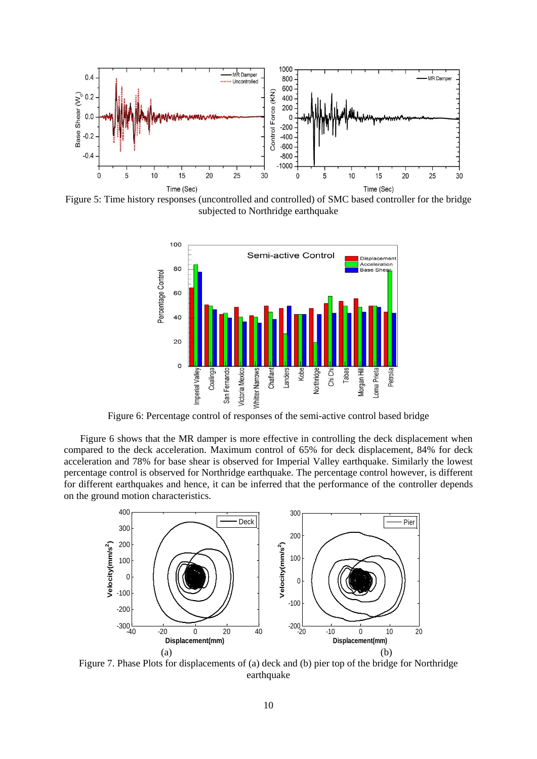

Figure 5: Time history responses (uncontrolled and controlled) of SMC based controller for the bridge subjected to Northridge earthquake



Figure 6: Percentage control of responses of the semi-active control based bridge

Figure 6 shows that the MR damper is more effective in controlling the deck displacement when compared to the deck acceleration. Maximum control of 65% for deck displacement, 84% for deck acceleration and 78% for base shear is observed for Imperial Valley earthquake. Similarly the lowest percentage control is observed for Northridge earthquake. The percentage control however, is different for different earthquakes and hence, it can be inferred that the performance of the controller depends on the ground motion characteristics.



Figure 7. Phase Plots for displacements of (a) deck and (b) pier top of the bridge for Northridge earthquake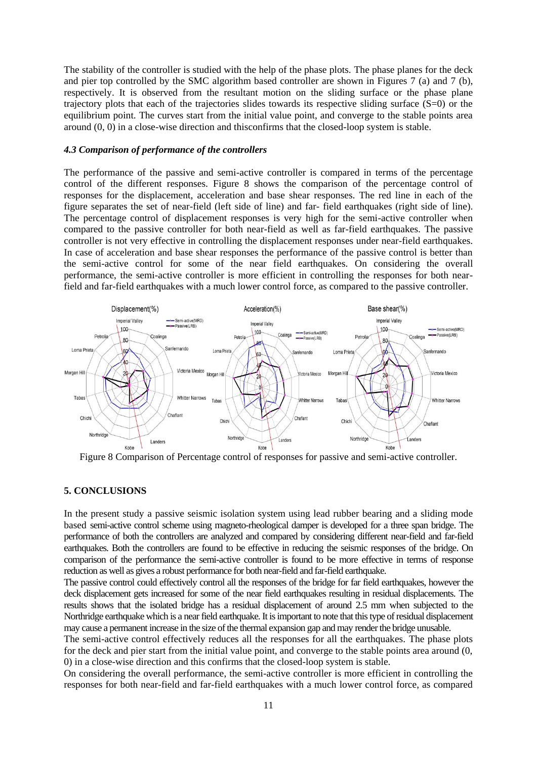The stability of the controller is studied with the help of the phase plots. The phase planes for the deck and pier top controlled by the SMC algorithm based controller are shown in Figures 7 (a) and 7 (b), respectively. It is observed from the resultant motion on the sliding surface or the phase plane trajectory plots that each of the trajectories slides towards its respective sliding surface  $(S=0)$  or the equilibrium point. The curves start from the initial value point, and converge to the stable points area around (0, 0) in a close-wise direction and thisconfirms that the closed-loop system is stable.

### *4.3 Comparison of performance of the controllers*

The performance of the passive and semi-active controller is compared in terms of the percentage control of the different responses. Figure 8 shows the comparison of the percentage control of responses for the displacement, acceleration and base shear responses. The red line in each of the figure separates the set of near-field (left side of line) and far- field earthquakes (right side of line). The percentage control of displacement responses is very high for the semi-active controller when compared to the passive controller for both near-field as well as far-field earthquakes. The passive controller is not very effective in controlling the displacement responses under near-field earthquakes. In case of acceleration and base shear responses the performance of the passive control is better than the semi-active control for some of the near field earthquakes. On considering the overall performance, the semi-active controller is more efficient in controlling the responses for both nearfield and far-field earthquakes with a much lower control force, as compared to the passive controller.



Figure 8 Comparison of Percentage control of responses for passive and semi-active controller.

#### **5. CONCLUSIONS**

In the present study a passive seismic isolation system using lead rubber bearing and a sliding mode based semi-active control scheme using magneto-rheological damper is developed for a three span bridge. The performance of both the controllers are analyzed and compared by considering different near-field and far-field earthquakes. Both the controllers are found to be effective in reducing the seismic responses of the bridge. On comparison of the performance the semi-active controller is found to be more effective in terms of response reduction as well as gives a robust performance for both near-field and far-field earthquake.

The passive control could effectively control all the responses of the bridge for far field earthquakes, however the deck displacement gets increased for some of the near field earthquakes resulting in residual displacements. The results shows that the isolated bridge has a residual displacement of around 2.5 mm when subjected to the Northridge earthquake which is a near field earthquake. It is important to note that this type of residual displacement may cause a permanent increase in the size of the thermal expansion gap and may render the bridge unusable.

The semi-active control effectively reduces all the responses for all the earthquakes. The phase plots for the deck and pier start from the initial value point, and converge to the stable points area around (0, 0) in a close-wise direction and this confirms that the closed-loop system is stable.

On considering the overall performance, the semi-active controller is more efficient in controlling the responses for both near-field and far-field earthquakes with a much lower control force, as compared